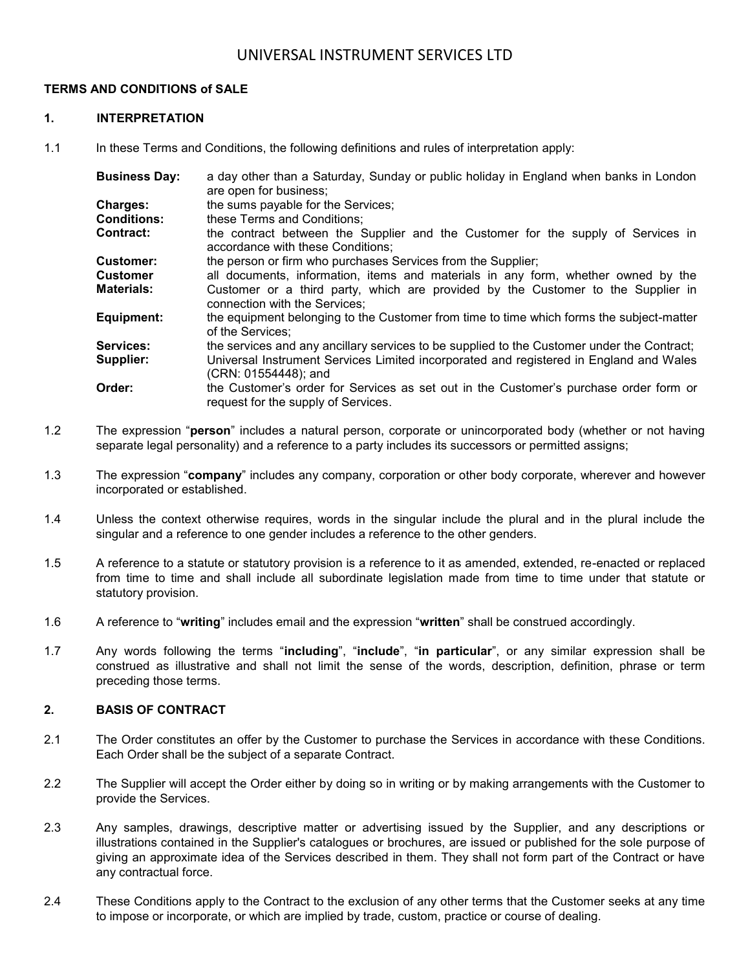#### **TERMS AND CONDITIONS of SALE**

#### **1. INTERPRETATION**

1.1 In these Terms and Conditions, the following definitions and rules of interpretation apply:

| <b>Business Day:</b> | a day other than a Saturday, Sunday or public holiday in England when banks in London<br>are open for business;              |
|----------------------|------------------------------------------------------------------------------------------------------------------------------|
| <b>Charges:</b>      | the sums payable for the Services;                                                                                           |
| <b>Conditions:</b>   | these Terms and Conditions;                                                                                                  |
| Contract:            | the contract between the Supplier and the Customer for the supply of Services in<br>accordance with these Conditions;        |
| <b>Customer:</b>     | the person or firm who purchases Services from the Supplier;                                                                 |
| Customer             | all documents, information, items and materials in any form, whether owned by the                                            |
| Materials:           | Customer or a third party, which are provided by the Customer to the Supplier in<br>connection with the Services;            |
| Equipment:           | the equipment belonging to the Customer from time to time which forms the subject-matter<br>of the Services:                 |
| Services:            | the services and any ancillary services to be supplied to the Customer under the Contract;                                   |
| Supplier:            | Universal Instrument Services Limited incorporated and registered in England and Wales<br>(CRN: 01554448); and               |
| Order:               | the Customer's order for Services as set out in the Customer's purchase order form or<br>request for the supply of Services. |

- 1.2 The expression "**person**" includes a natural person, corporate or unincorporated body (whether or not having separate legal personality) and a reference to a party includes its successors or permitted assigns;
- 1.3 The expression "**company**" includes any company, corporation or other body corporate, wherever and however incorporated or established.
- 1.4 Unless the context otherwise requires, words in the singular include the plural and in the plural include the singular and a reference to one gender includes a reference to the other genders.
- 1.5 A reference to a statute or statutory provision is a reference to it as amended, extended, re-enacted or replaced from time to time and shall include all subordinate legislation made from time to time under that statute or statutory provision.
- 1.6 A reference to "**writing**" includes email and the expression "**written**" shall be construed accordingly.
- 1.7 Any words following the terms "**including**", "**include**", "**in particular**", or any similar expression shall be construed as illustrative and shall not limit the sense of the words, description, definition, phrase or term preceding those terms.

### **2. BASIS OF CONTRACT**

- 2.1 The Order constitutes an offer by the Customer to purchase the Services in accordance with these Conditions. Each Order shall be the subject of a separate Contract.
- 2.2 The Supplier will accept the Order either by doing so in writing or by making arrangements with the Customer to provide the Services.
- 2.3 Any samples, drawings, descriptive matter or advertising issued by the Supplier, and any descriptions or illustrations contained in the Supplier's catalogues or brochures, are issued or published for the sole purpose of giving an approximate idea of the Services described in them. They shall not form part of the Contract or have any contractual force.
- 2.4 These Conditions apply to the Contract to the exclusion of any other terms that the Customer seeks at any time to impose or incorporate, or which are implied by trade, custom, practice or course of dealing.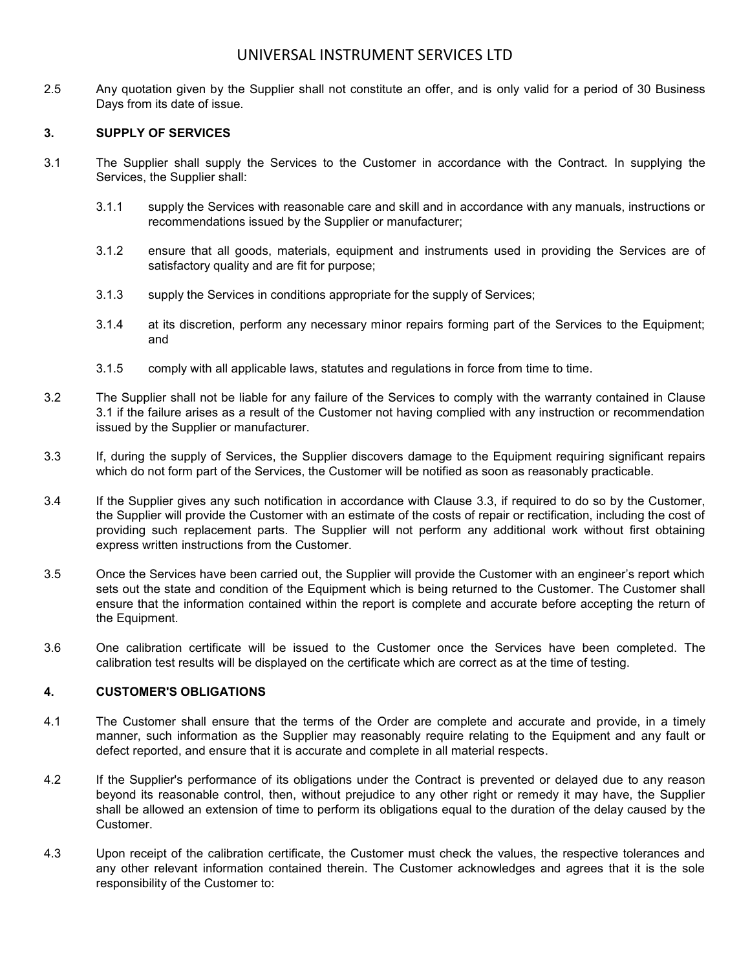2.5 Any quotation given by the Supplier shall not constitute an offer, and is only valid for a period of 30 Business Days from its date of issue.

#### **3. SUPPLY OF SERVICES**

- <span id="page-1-0"></span>3.1 The Supplier shall supply the Services to the Customer in accordance with the Contract. In supplying the Services, the Supplier shall:
	- 3.1.1 supply the Services with reasonable care and skill and in accordance with any manuals, instructions or recommendations issued by the Supplier or manufacturer;
	- 3.1.2 ensure that all goods, materials, equipment and instruments used in providing the Services are of satisfactory quality and are fit for purpose;
	- 3.1.3 supply the Services in conditions appropriate for the supply of Services;
	- 3.1.4 at its discretion, perform any necessary minor repairs forming part of the Services to the Equipment; and
	- 3.1.5 comply with all applicable laws, statutes and regulations in force from time to time.
- 3.2 The Supplier shall not be liable for any failure of the Services to comply with the warranty contained in Clause [3.1](#page-1-0) if the failure arises as a result of the Customer not having complied with any instruction or recommendation issued by the Supplier or manufacturer.
- <span id="page-1-1"></span>3.3 If, during the supply of Services, the Supplier discovers damage to the Equipment requiring significant repairs which do not form part of the Services, the Customer will be notified as soon as reasonably practicable.
- 3.4 If the Supplier gives any such notification in accordance with Clause [3.3,](#page-1-1) if required to do so by the Customer, the Supplier will provide the Customer with an estimate of the costs of repair or rectification, including the cost of providing such replacement parts. The Supplier will not perform any additional work without first obtaining express written instructions from the Customer.
- 3.5 Once the Services have been carried out, the Supplier will provide the Customer with an engineer's report which sets out the state and condition of the Equipment which is being returned to the Customer. The Customer shall ensure that the information contained within the report is complete and accurate before accepting the return of the Equipment.
- 3.6 One calibration certificate will be issued to the Customer once the Services have been completed. The calibration test results will be displayed on the certificate which are correct as at the time of testing.

#### **4. CUSTOMER'S OBLIGATIONS**

- 4.1 The Customer shall ensure that the terms of the Order are complete and accurate and provide, in a timely manner, such information as the Supplier may reasonably require relating to the Equipment and any fault or defect reported, and ensure that it is accurate and complete in all material respects.
- 4.2 If the Supplier's performance of its obligations under the Contract is prevented or delayed due to any reason beyond its reasonable control, then, without prejudice to any other right or remedy it may have, the Supplier shall be allowed an extension of time to perform its obligations equal to the duration of the delay caused by the Customer.
- 4.3 Upon receipt of the calibration certificate, the Customer must check the values, the respective tolerances and any other relevant information contained therein. The Customer acknowledges and agrees that it is the sole responsibility of the Customer to: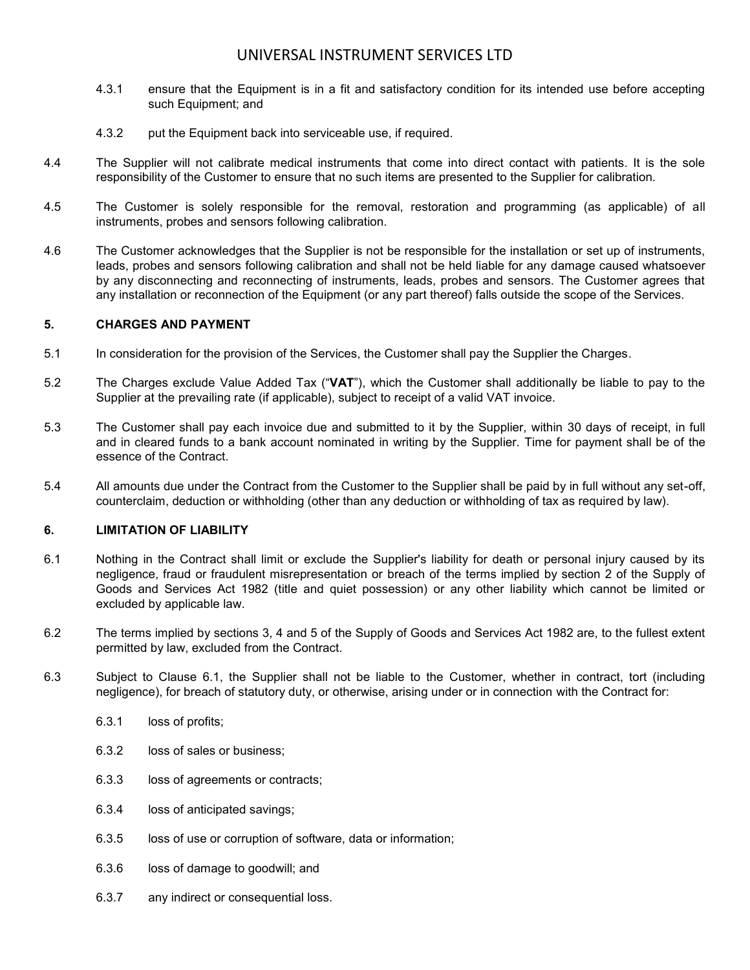- 4.3.1 ensure that the Equipment is in a fit and satisfactory condition for its intended use before accepting such Equipment; and
- 4.3.2 put the Equipment back into serviceable use, if required.
- 4.4 The Supplier will not calibrate medical instruments that come into direct contact with patients. It is the sole responsibility of the Customer to ensure that no such items are presented to the Supplier for calibration.
- 4.5 The Customer is solely responsible for the removal, restoration and programming (as applicable) of all instruments, probes and sensors following calibration.
- 4.6 The Customer acknowledges that the Supplier is not be responsible for the installation or set up of instruments, leads, probes and sensors following calibration and shall not be held liable for any damage caused whatsoever by any disconnecting and reconnecting of instruments, leads, probes and sensors. The Customer agrees that any installation or reconnection of the Equipment (or any part thereof) falls outside the scope of the Services.

#### **5. CHARGES AND PAYMENT**

- 5.1 In consideration for the provision of the Services, the Customer shall pay the Supplier the Charges.
- 5.2 The Charges exclude Value Added Tax ("**VAT**"), which the Customer shall additionally be liable to pay to the Supplier at the prevailing rate (if applicable), subject to receipt of a valid VAT invoice.
- 5.3 The Customer shall pay each invoice due and submitted to it by the Supplier, within 30 days of receipt, in full and in cleared funds to a bank account nominated in writing by the Supplier. Time for payment shall be of the essence of the Contract.
- 5.4 All amounts due under the Contract from the Customer to the Supplier shall be paid by in full without any set-off, counterclaim, deduction or withholding (other than any deduction or withholding of tax as required by law).

### <span id="page-2-1"></span>**6. LIMITATION OF LIABILITY**

- <span id="page-2-0"></span>6.1 Nothing in the Contract shall limit or exclude the Supplier's liability for death or personal injury caused by its negligence, fraud or fraudulent misrepresentation or breach of the terms implied by section 2 of the Supply of Goods and Services Act 1982 (title and quiet possession) or any other liability which cannot be limited or excluded by applicable law.
- 6.2 The terms implied by sections 3, 4 and 5 of the Supply of Goods and Services Act 1982 are, to the fullest extent permitted by law, excluded from the Contract.
- 6.3 Subject to Clause [6.1,](#page-2-0) the Supplier shall not be liable to the Customer, whether in contract, tort (including negligence), for breach of statutory duty, or otherwise, arising under or in connection with the Contract for:
	- 6.3.1 loss of profits;
	- 6.3.2 loss of sales or business;
	- 6.3.3 loss of agreements or contracts;
	- 6.3.4 loss of anticipated savings;
	- 6.3.5 loss of use or corruption of software, data or information;
	- 6.3.6 loss of damage to goodwill; and
	- 6.3.7 any indirect or consequential loss.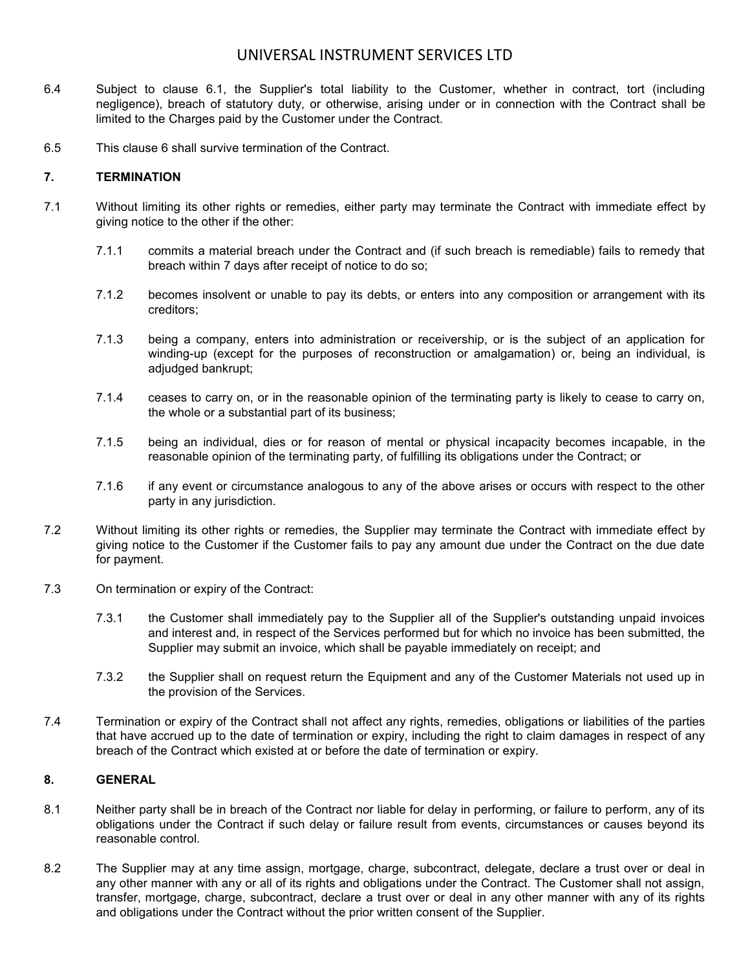- 6.4 Subject to clause [6.1,](#page-2-0) the Supplier's total liability to the Customer, whether in contract, tort (including negligence), breach of statutory duty, or otherwise, arising under or in connection with the Contract shall be limited to the Charges paid by the Customer under the Contract.
- 6.5 This clause [6](#page-2-1) shall survive termination of the Contract.

### **7. TERMINATION**

- 7.1 Without limiting its other rights or remedies, either party may terminate the Contract with immediate effect by giving notice to the other if the other:
	- 7.1.1 commits a material breach under the Contract and (if such breach is remediable) fails to remedy that breach within 7 days after receipt of notice to do so;
	- 7.1.2 becomes insolvent or unable to pay its debts, or enters into any composition or arrangement with its creditors;
	- 7.1.3 being a company, enters into administration or receivership, or is the subject of an application for winding-up (except for the purposes of reconstruction or amalgamation) or, being an individual, is adjudged bankrupt;
	- 7.1.4 ceases to carry on, or in the reasonable opinion of the terminating party is likely to cease to carry on, the whole or a substantial part of its business;
	- 7.1.5 being an individual, dies or for reason of mental or physical incapacity becomes incapable, in the reasonable opinion of the terminating party, of fulfilling its obligations under the Contract; or
	- 7.1.6 if any event or circumstance analogous to any of the above arises or occurs with respect to the other party in any jurisdiction.
- 7.2 Without limiting its other rights or remedies, the Supplier may terminate the Contract with immediate effect by giving notice to the Customer if the Customer fails to pay any amount due under the Contract on the due date for payment.
- 7.3 On termination or expiry of the Contract:
	- 7.3.1 the Customer shall immediately pay to the Supplier all of the Supplier's outstanding unpaid invoices and interest and, in respect of the Services performed but for which no invoice has been submitted, the Supplier may submit an invoice, which shall be payable immediately on receipt; and
	- 7.3.2 the Supplier shall on request return the Equipment and any of the Customer Materials not used up in the provision of the Services.
- 7.4 Termination or expiry of the Contract shall not affect any rights, remedies, obligations or liabilities of the parties that have accrued up to the date of termination or expiry, including the right to claim damages in respect of any breach of the Contract which existed at or before the date of termination or expiry.

### **8. GENERAL**

- 8.1 Neither party shall be in breach of the Contract nor liable for delay in performing, or failure to perform, any of its obligations under the Contract if such delay or failure result from events, circumstances or causes beyond its reasonable control.
- 8.2 The Supplier may at any time assign, mortgage, charge, subcontract, delegate, declare a trust over or deal in any other manner with any or all of its rights and obligations under the Contract. The Customer shall not assign, transfer, mortgage, charge, subcontract, declare a trust over or deal in any other manner with any of its rights and obligations under the Contract without the prior written consent of the Supplier.